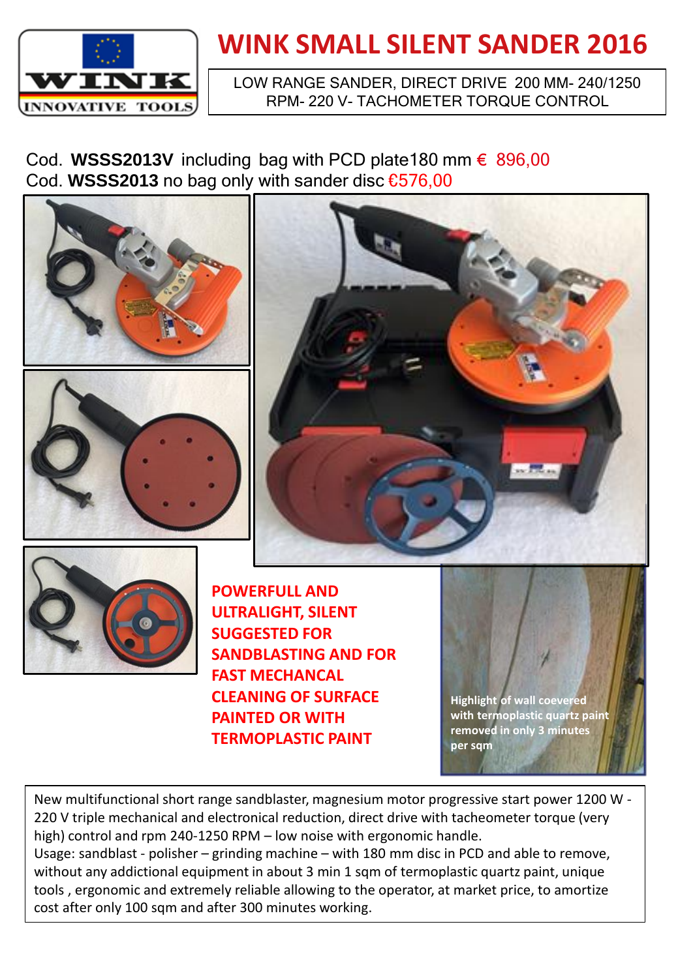

## **WINK SMALL SILENT SANDER 2016**

## LOW RANGE SANDER, DIRECT DRIVE 200 MM- 240/1250 RPM- 220 V- TACHOMETER TORQUE CONTROL

Cod. **WSSS2013V** including bag with PCD plate180 mm € 896,00 Cod. **WSSS2013** no bag only with sander disc €576,00







**POWERFULL AND ULTRALIGHT, SILENT SUGGESTED FOR SANDBLASTING AND FOR FAST MECHANCAL CLEANING OF SURFACE PAINTED OR WITH TERMOPLASTIC PAINT**

**Highlight of wall coevered with termoplastic quartz paint removed in only 3 minutes per sqm**

New multifunctional short range sandblaster, magnesium motor progressive start power 1200 W - 220 V triple mechanical and electronical reduction, direct drive with tacheometer torque (very high) control and rpm 240-1250 RPM – low noise with ergonomic handle.

Usage: sandblast - polisher – grinding machine – with 180 mm disc in PCD and able to remove, without any addictional equipment in about 3 min 1 sqm of termoplastic quartz paint, unique tools , ergonomic and extremely reliable allowing to the operator, at market price, to amortize cost after only 100 sqm and after 300 minutes working.